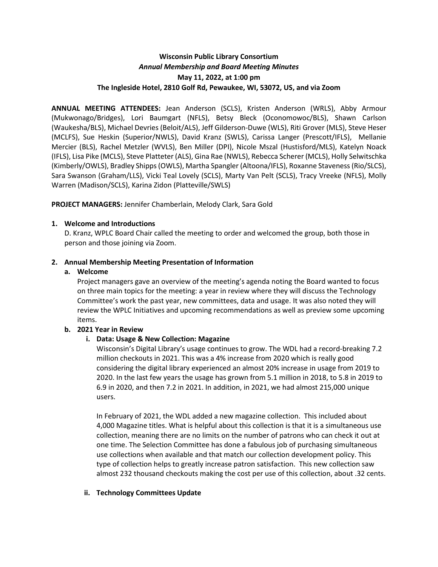# **Wisconsin Public Library Consortium** *Annual Membership and Board Meeting Minutes*  **May 11, 2022, at 1:00 pm The Ingleside Hotel, 2810 Golf Rd, Pewaukee, WI, 53072, US, and via Zoom**

**ANNUAL MEETING ATTENDEES:** Jean Anderson (SCLS), Kristen Anderson (WRLS), Abby Armour (Mukwonago/Bridges), Lori Baumgart (NFLS), Betsy Bleck (Oconomowoc/BLS), Shawn Carlson (Waukesha/BLS), Michael Devries (Beloit/ALS), Jeff Gilderson-Duwe (WLS), Riti Grover (MLS), Steve Heser (MCLFS), Sue Heskin (Superior/NWLS), David Kranz (SWLS), Carissa Langer (Prescott/IFLS), Mellanie Mercier (BLS), Rachel Metzler (WVLS), Ben Miller (DPI), Nicole Mszal (Hustisford/MLS), Katelyn Noack (IFLS), Lisa Pike (MCLS), Steve Platteter (ALS), Gina Rae (NWLS), Rebecca Scherer (MCLS), Holly Selwitschka (Kimberly/OWLS), Bradley Shipps (OWLS), Martha Spangler (Altoona/IFLS), Roxanne Staveness (Rio/SLCS), Sara Swanson (Graham/LLS), Vicki Teal Lovely (SCLS), Marty Van Pelt (SCLS), Tracy Vreeke (NFLS), Molly Warren (Madison/SCLS), Karina Zidon (Platteville/SWLS)

**PROJECT MANAGERS:** Jennifer Chamberlain, Melody Clark, Sara Gold

#### **1. Welcome and Introductions**

D. Kranz, WPLC Board Chair called the meeting to order and welcomed the group, both those in person and those joining via Zoom.

#### **2. Annual Membership Meeting Presentation of Information**

#### **a. Welcome**

Project managers gave an overview of the meeting's agenda noting the Board wanted to focus on three main topics for the meeting: a year in review where they will discuss the Technology Committee's work the past year, new committees, data and usage. It was also noted they will review the WPLC Initiatives and upcoming recommendations as well as preview some upcoming items.

## **b. 2021 Year in Review**

## **i. Data: Usage & New Collection: Magazine**

Wisconsin's Digital Library's usage continues to grow. The WDL had a record-breaking 7.2 million checkouts in 2021. This was a 4% increase from 2020 which is really good considering the digital library experienced an almost 20% increase in usage from 2019 to 2020. In the last few years the usage has grown from 5.1 million in 2018, to 5.8 in 2019 to 6.9 in 2020, and then 7.2 in 2021. In addition, in 2021, we had almost 215,000 unique users.

In February of 2021, the WDL added a new magazine collection. This included about 4,000 Magazine titles. What is helpful about this collection is that it is a simultaneous use collection, meaning there are no limits on the number of patrons who can check it out at one time. The Selection Committee has done a fabulous job of purchasing simultaneous use collections when available and that match our collection development policy. This type of collection helps to greatly increase patron satisfaction. This new collection saw almost 232 thousand checkouts making the cost per use of this collection, about .32 cents.

#### **ii. Technology Committees Update**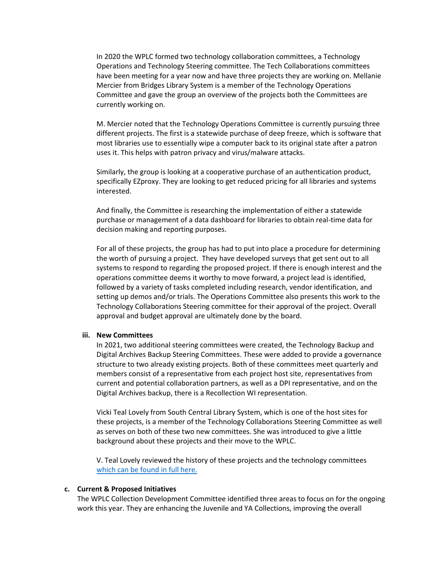In 2020 the WPLC formed two technology collaboration committees, a Technology Operations and Technology Steering committee. The Tech Collaborations committees have been meeting for a year now and have three projects they are working on. Mellanie Mercier from Bridges Library System is a member of the Technology Operations Committee and gave the group an overview of the projects both the Committees are currently working on.

M. Mercier noted that the Technology Operations Committee is currently pursuing three different projects. The first is a statewide purchase of deep freeze, which is software that most libraries use to essentially wipe a computer back to its original state after a patron uses it. This helps with patron privacy and virus/malware attacks.

Similarly, the group is looking at a cooperative purchase of an authentication product, specifically EZproxy. They are looking to get reduced pricing for all libraries and systems interested.

And finally, the Committee is researching the implementation of either a statewide purchase or management of a data dashboard for libraries to obtain real-time data for decision making and reporting purposes.

For all of these projects, the group has had to put into place a procedure for determining the worth of pursuing a project. They have developed surveys that get sent out to all systems to respond to regarding the proposed project. If there is enough interest and the operations committee deems it worthy to move forward, a project lead is identified, followed by a variety of tasks completed including research, vendor identification, and setting up demos and/or trials. The Operations Committee also presents this work to the Technology Collaborations Steering committee for their approval of the project. Overall approval and budget approval are ultimately done by the board.

#### **iii. New Committees**

In 2021, two additional steering committees were created, the Technology Backup and Digital Archives Backup Steering Committees. These were added to provide a governance structure to two already existing projects. Both of these committees meet quarterly and members consist of a representative from each project host site, representatives from current and potential collaboration partners, as well as a DPI representative, and on the Digital Archives backup, there is a Recollection WI representation.

Vicki Teal Lovely from South Central Library System, which is one of the host sites for these projects, is a member of the Technology Collaborations Steering Committee as well as serves on both of these two new committees. She was introduced to give a little background about these projects and their move to the WPLC.

V. Teal Lovely reviewed the history of these projects and the technology committees [which can be found in full here.](https://wplc.info/sites/wplc.info/files/WPLC%20Technology%20Collaboration%20History.pdf)

#### **c. Current & Proposed Initiatives**

The WPLC Collection Development Committee identified three areas to focus on for the ongoing work this year. They are enhancing the Juvenile and YA Collections, improving the overall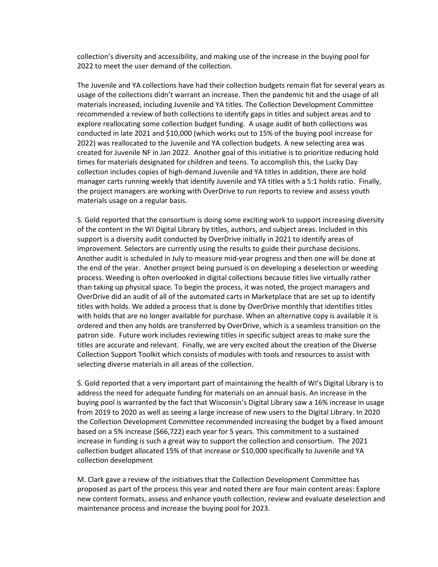collection's diversity and accessibility, and making use of the increase in the buying pool for 2022 to meet the user demand of the collection.

The Juvenile and YA collections have had their collection budgets remain flat for several years as usage of the collections didn't warrant an increase. Then the pandemic hit and the usage of all materials increased, including Juvenile and YA titles. The Collection Development Committee recommended a review of both collections to identify gaps in titles and subject areas and to explore reallocating some collection budget funding. A usage audit of both collections was conducted in late 2021 and \$10,000 (which works out to 15% of the buying pool increase for 2022) was reallocated to the Juvenile and YA collection budgets. A new selecting area was created for Juvenile NF in Jan 2022. Another goal of this initiative is to prioritize reducing hold times for materials designated for children and teens. To accomplish this, the Lucky Day collection includes copies of high-demand Juvenile and YA titles In addition, there are hold manager carts running weekly that identify Juvenile and YA titles with a 5:1 holds ratio. Finally, the project managers are working with OverDrive to run reports to review and assess youth materials usage on a regular basis.

S. Gold reported that the consortium is doing some exciting work to support increasing diversity of the content in the WI Digital Library by titles, authors, and subject areas. Included in this support is a diversity audit conducted by OverDrive initially in 2021 to identify areas of improvement. Selectors are currently using the results to guide their purchase decisions. Another audit is scheduled in July to measure mid-year progress and then one will be done at the end of the year. Another project being pursued is on developing a deselection or weeding process. Weeding is often overlooked in digital collections because titles live virtually rather than taking up physical space. To begin the process, it was noted, the project managers and OverDrive did an audit of all of the automated carts in Marketplace that are set up to identify titles with holds. We added a process that is done by OverDrive monthly that identifies titles with holds that are no longer available for purchase. When an alternative copy is available it is ordered and then any holds are transferred by OverDrive, which is a seamless transition on the patron side. Future work includes reviewing titles in specific subject areas to make sure the titles are accurate and relevant. Finally, we are very excited about the creation of the Diverse Collection Support Toolkit which consists of modules with tools and resources to assist with selecting diverse materials in all areas of the collection.

S. Gold reported that a very important part of maintaining the health of WI's Digital Library is to address the need for adequate funding for materials on an annual basis. An increase in the buying pool is warranted by the fact that Wisconsin's Digital Library saw a 16% increase in usage from 2019 to 2020 as well as seeing a large increase of new users to the Digital Library. In 2020 the Collection Development Committee recommended increasing the budget by a fixed amount based on a 5% increase (\$66,722) each year for 5 years. This commitment to a sustained increase in funding is such a great way to support the collection and consortium. The 2021 collection budget allocated 15% of that increase or \$10,000 specifically to Juvenile and YA collection development

M. Clark gave a review of the initiatives that the Collection Development Committee has proposed as part of the process this year and noted there are four main content areas: Explore new content formats, assess and enhance youth collection, review and evaluate deselection and maintenance process and increase the buying pool for 2023.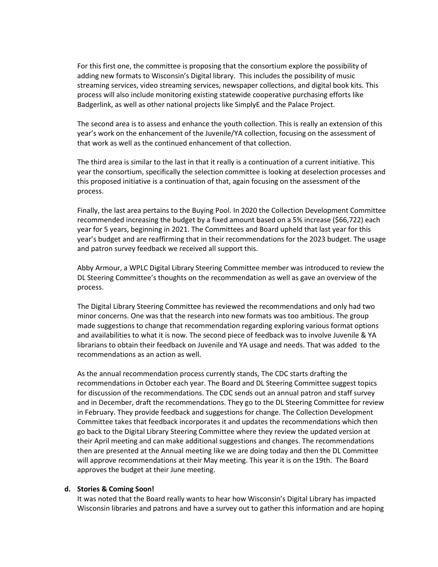For this first one, the committee is proposing that the consortium explore the possibility of adding new formats to Wisconsin's Digital library. This includes the possibility of music streaming services, video streaming services, newspaper collections, and digital book kits. This process will also include monitoring existing statewide cooperative purchasing efforts like Badgerlink, as well as other national projects like SimplyE and the Palace Project.

The second area is to assess and enhance the youth collection. This is really an extension of this year's work on the enhancement of the Juvenile/YA collection, focusing on the assessment of that work as well as the continued enhancement of that collection.

The third area is similar to the last in that it really is a continuation of a current initiative. This year the consortium, specifically the selection committee is looking at deselection processes and this proposed initiative is a continuation of that, again focusing on the assessment of the process.

Finally, the last area pertains to the Buying Pool. In 2020 the Collection Development Committee recommended increasing the budget by a fixed amount based on a 5% increase (\$66,722) each year for 5 years, beginning in 2021. The Committees and Board upheld that last year for this year's budget and are reaffirming that in their recommendations for the 2023 budget. The usage and patron survey feedback we received all support this.

Abby Armour, a WPLC Digital Library Steering Committee member was introduced to review the DL Steering Committee's thoughts on the recommendation as well as gave an overview of the process.

The Digital Library Steering Committee has reviewed the recommendations and only had two minor concerns. One was that the research into new formats was too ambitious. The group made suggestions to change that recommendation regarding exploring various format options and availabilities to what it is now. The second piece of feedback was to involve Juvenile & YA librarians to obtain their feedback on Juvenile and YA usage and needs. That was added to the recommendations as an action as well.

As the annual recommendation process currently stands, The CDC starts drafting the recommendations in October each year. The Board and DL Steering Committee suggest topics for discussion of the recommendations. The CDC sends out an annual patron and staff survey and in December, draft the recommendations. They go to the DL Steering Committee for review in February. They provide feedback and suggestions for change. The Collection Development Committee takes that feedback incorporates it and updates the recommendations which then go back to the Digital Library Steering Committee where they review the updated version at their April meeting and can make additional suggestions and changes. The recommendations then are presented at the Annual meeting like we are doing today and then the DL Committee will approve recommendations at their May meeting. This year it is on the 19th. The Board approves the budget at their June meeting.

#### **d. Stories & Coming Soon!**

It was noted that the Board really wants to hear how Wisconsin's Digital Library has impacted Wisconsin libraries and patrons and have a survey out to gather this information and are hoping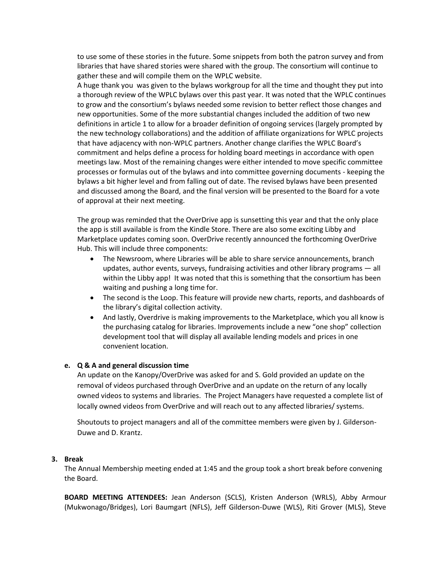to use some of these stories in the future. Some snippets from both the patron survey and from libraries that have shared stories were shared with the group. The consortium will continue to gather these and will compile them on the WPLC website.

A huge thank you was given to the bylaws workgroup for all the time and thought they put into a thorough review of the WPLC bylaws over this past year. It was noted that the WPLC continues to grow and the consortium's bylaws needed some revision to better reflect those changes and new opportunities. Some of the more substantial changes included the addition of two new definitions in article 1 to allow for a broader definition of ongoing services (largely prompted by the new technology collaborations) and the addition of affiliate organizations for WPLC projects that have adjacency with non-WPLC partners. Another change clarifies the WPLC Board's commitment and helps define a process for holding board meetings in accordance with open meetings law. Most of the remaining changes were either intended to move specific committee processes or formulas out of the bylaws and into committee governing documents - keeping the bylaws a bit higher level and from falling out of date. The revised bylaws have been presented and discussed among the Board, and the final version will be presented to the Board for a vote of approval at their next meeting.

The group was reminded that the OverDrive app is sunsetting this year and that the only place the app is still available is from the Kindle Store. There are also some exciting Libby and Marketplace updates coming soon. OverDrive recently announced the forthcoming OverDrive Hub. This will include three components:

- The Newsroom, where Libraries will be able to share service announcements, branch updates, author events, surveys, fundraising activities and other library programs — all within the Libby app! It was noted that this is something that the consortium has been waiting and pushing a long time for.
- The second is the Loop. This feature will provide new charts, reports, and dashboards of the library's digital collection activity.
- And lastly, Overdrive is making improvements to the Marketplace, which you all know is the purchasing catalog for libraries. Improvements include a new "one shop" collection development tool that will display all available lending models and prices in one convenient location.

## **e. Q & A and general discussion time**

An update on the Kanopy/OverDrive was asked for and S. Gold provided an update on the removal of videos purchased through OverDrive and an update on the return of any locally owned videos to systems and libraries. The Project Managers have requested a complete list of locally owned videos from OverDrive and will reach out to any affected libraries/ systems.

Shoutouts to project managers and all of the committee members were given by J. Gilderson-Duwe and D. Krantz.

#### **3. Break**

The Annual Membership meeting ended at 1:45 and the group took a short break before convening the Board.

**BOARD MEETING ATTENDEES:** Jean Anderson (SCLS), Kristen Anderson (WRLS), Abby Armour (Mukwonago/Bridges), Lori Baumgart (NFLS), Jeff Gilderson-Duwe (WLS), Riti Grover (MLS), Steve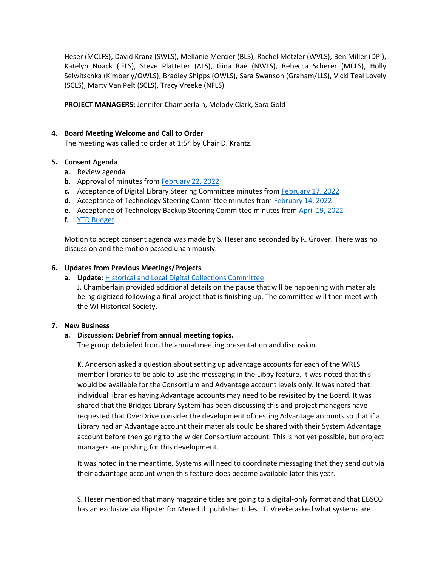Heser (MCLFS), David Kranz (SWLS), Mellanie Mercier (BLS), Rachel Metzler (WVLS), Ben Miller (DPI), Katelyn Noack (IFLS), Steve Platteter (ALS), Gina Rae (NWLS), Rebecca Scherer (MCLS), Holly Selwitschka (Kimberly/OWLS), Bradley Shipps (OWLS), Sara Swanson (Graham/LLS), Vicki Teal Lovely (SCLS), Marty Van Pelt (SCLS), Tracy Vreeke (NFLS)

**PROJECT MANAGERS:** Jennifer Chamberlain, Melody Clark, Sara Gold

## **4. Board Meeting Welcome and Call to Order**

The meeting was called to order at 1:54 by Chair D. Krantz.

## **5. Consent Agenda**

- **a.** Review agenda
- **b.** Approval of minutes from [February 22, 2022](https://wplc.info/sites/wplc.info/files/02-22-2022%20WPLC%20Board%20Meeting%20Notes.pdf)
- **c.** Acceptance of Digital Library Steering Committee minutes from [February 17, 2022](https://wplc.info/sites/wplc.info/files/02-17-2022%20WPLC%20Steering%20Notes.pdf)
- **d.** Acceptance of Technology Steering Committee minutes from [February 14, 2022](https://wplc.info/sites/wplc.info/files/02-14-2022%20WPLC%20Tech%20Steering%20Meeting%20Notes.pdf)
- **e.** Acceptance of Technology Backup Steering Committee minutes from [April 19, 2022](https://wplc.info/sites/wplc.info/files/04.19.2022%20WPLC%20Tech%20Backup%20Steering%20Meeting%20Notes.pdf)
- **f.** [YTD Budget](https://wplc.info/sites/wplc.info/files/2022.04.30.xlsx)

Motion to accept consent agenda was made by S. Heser and seconded by R. Grover. There was no discussion and the motion passed unanimously.

## **6. Updates from Previous Meetings/Projects**

**a. Update:** [Historical and Local Digital Collections Committee](https://wplc.info/sites/wplc.info/files/His%20and%20Dig%20Update%20for%20WPLC%20Board%20May%202022.pdf)

J. Chamberlain provided additional details on the pause that will be happening with materials being digitized following a final project that is finishing up. The committee will then meet with the WI Historical Society.

## **7. New Business**

## **a. Discussion: Debrief from annual meeting topics.**

The group debriefed from the annual meeting presentation and discussion.

K. Anderson asked a question about setting up advantage accounts for each of the WRLS member libraries to be able to use the messaging in the Libby feature. It was noted that this would be available for the Consortium and Advantage account levels only. It was noted that individual libraries having Advantage accounts may need to be revisited by the Board. It was shared that the Bridges Library System has been discussing this and project managers have requested that OverDrive consider the development of nesting Advantage accounts so that if a Library had an Advantage account their materials could be shared with their System Advantage account before then going to the wider Consortium account. This is not yet possible, but project managers are pushing for this development.

It was noted in the meantime, Systems will need to coordinate messaging that they send out via their advantage account when this feature does become available later this year.

S. Heser mentioned that many magazine titles are going to a digital-only format and that EBSCO has an exclusive via Flipster for Meredith publisher titles. T. Vreeke asked what systems are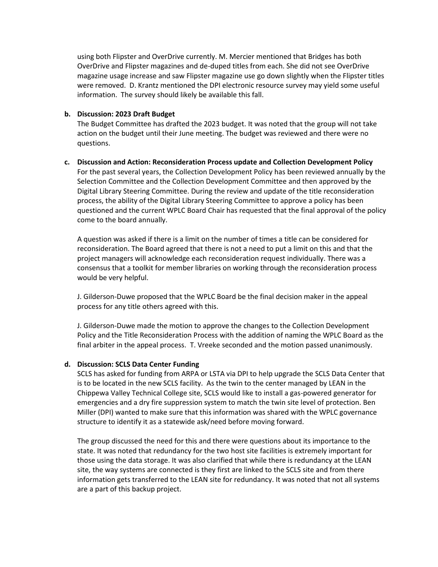using both Flipster and OverDrive currently. M. Mercier mentioned that Bridges has both OverDrive and Flipster magazines and de-duped titles from each. She did not see OverDrive magazine usage increase and saw Flipster magazine use go down slightly when the Flipster titles were removed. D. Krantz mentioned the DPI electronic resource survey may yield some useful information. The survey should likely be available this fall.

#### **b. Discussion: 2023 Draft Budget**

The Budget Committee has drafted the 2023 budget. It was noted that the group will not take action on the budget until their June meeting. The budget was reviewed and there were no questions.

#### **c. Discussion and Action: Reconsideration Process update and Collection Development Policy**

For the past several years, the Collection Development Policy has been reviewed annually by the Selection Committee and the Collection Development Committee and then approved by the Digital Library Steering Committee. During the review and update of the title reconsideration process, the ability of the Digital Library Steering Committee to approve a policy has been questioned and the current WPLC Board Chair has requested that the final approval of the policy come to the board annually.

A question was asked if there is a limit on the number of times a title can be considered for reconsideration. The Board agreed that there is not a need to put a limit on this and that the project managers will acknowledge each reconsideration request individually. There was a consensus that a toolkit for member libraries on working through the reconsideration process would be very helpful.

J. Gilderson-Duwe proposed that the WPLC Board be the final decision maker in the appeal process for any title others agreed with this.

J. Gilderson-Duwe made the motion to approve the changes to the Collection Development Policy and the Title Reconsideration Process with the addition of naming the WPLC Board as the final arbiter in the appeal process. T. Vreeke seconded and the motion passed unanimously.

## **d. Discussion: SCLS Data Center Funding**

SCLS has asked for funding from ARPA or LSTA via DPI to help upgrade the SCLS Data Center that is to be located in the new SCLS facility. As the twin to the center managed by LEAN in the Chippewa Valley Technical College site, SCLS would like to install a gas-powered generator for emergencies and a dry fire suppression system to match the twin site level of protection. Ben Miller (DPI) wanted to make sure that this information was shared with the WPLC governance structure to identify it as a statewide ask/need before moving forward.

The group discussed the need for this and there were questions about its importance to the state. It was noted that redundancy for the two host site facilities is extremely important for those using the data storage. It was also clarified that while there is redundancy at the LEAN site, the way systems are connected is they first are linked to the SCLS site and from there information gets transferred to the LEAN site for redundancy. It was noted that not all systems are a part of this backup project.